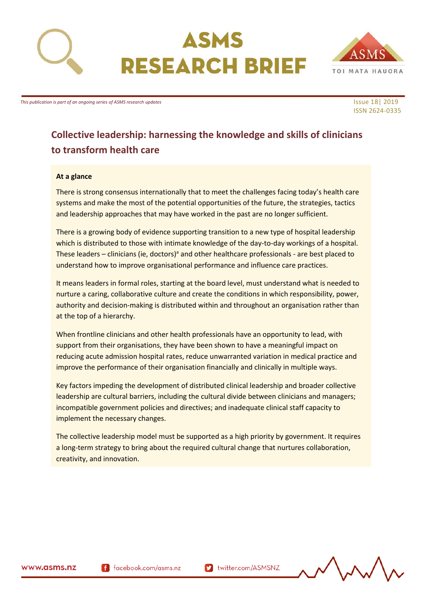

# ASMS **RESEARCH BRIEF**



ISSN 2624-0335

*This publication is part of an ongoing series of ASMS research updates* In the series of ASMS research updates Issue 18| 2019

**to transform health care**

## **Collective leadership: harnessing the knowledge and skills of clinicians**

#### **At a glance**

There is strong consensus internationally that to meet the challenges facing today's health care systems and make the most of the potential opportunities of the future, the strategies, tactics and leadership approaches that may have worked in the past are no longer sufficient.

There is a growing body of evidence supporting transition to a new type of hospital leadership which is distributed to those with intimate knowledge of the day-to-day workings of a hospital. These leaders – clinicians (ie, doctors)<sup>a</sup> and other healthcare professionals - are best placed to understand how to improve organisational performance and influence care practices.

It means leaders in formal roles, starting at the board level, must understand what is needed to nurture a caring, collaborative culture and create the conditions in which responsibility, power, authority and decision-making is distributed within and throughout an organisation rather than at the top of a hierarchy.

When frontline clinicians and other health professionals have an opportunity to lead, with support from their organisations, they have been shown to have a meaningful impact on reducing acute admission hospital rates, reduce unwarranted variation in medical practice and improve the performance of their organisation financially and clinically in multiple ways.

Key factors impeding the development of distributed clinical leadership and broader collective leadership are cultural barriers, including the cultural divide between clinicians and managers; incompatible government policies and directives; and inadequate clinical staff capacity to implement the necessary changes.

The collective leadership model must be supported as a high priority by government. It requires a long-term strategy to bring about the required cultural change that nurtures collaboration, creativity, and innovation.

f facebook.com/asms.nz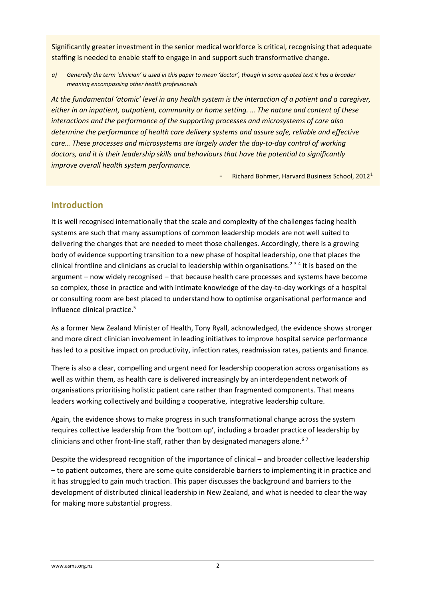Significantly greater investment in the senior medical workforce is critical, recognising that adequate staffing is needed to enable staff to engage in and support such transformative change.

*a) Generally the term 'clinician' is used in this paper to mean 'doctor', though in some quoted text it has a broader meaning encompassing other health professionals*

At the fundamental 'atomic' level in any health system is the interaction of a patient and a caregiver, *either in an inpatient, outpatient, community or home setting. … The nature and content of these interactions and the performance of the supporting processes and microsystems of care also determine the performance of health care delivery systems and assure safe, reliable and effective care… These processes and microsystems are largely under the day-to-day control of working doctors, and it is their leadership skills and behaviours that have the potential to significantly improve overall health system performance.*

Richard Bohmer, Harvard Business School, 2012<sup>1</sup>

### **Introduction**

It is well recognised internationally that the scale and complexity of the challenges facing health systems are such that many assumptions of common leadership models are not well suited to delivering the changes that are needed to meet those challenges. Accordingly, there is a growing body of evidence supporting transition to a new phase of hospital leadership, one that places the clinical frontline and clinicians as crucial to leadership within organisations.<sup>234</sup> It is based on the argument – now widely recognised – that because health care processes and systems have become so complex, those in practice and with intimate knowledge of the day-to-day workings of a hospital or consulting room are best placed to understand how to optimise organisational performance and influence clinical practice.<sup>5</sup>

As a former New Zealand Minister of Health, Tony Ryall, acknowledged, the evidence shows stronger and more direct clinician involvement in leading initiatives to improve hospital service performance has led to a positive impact on productivity, infection rates, readmission rates, patients and finance.

There is also a clear, compelling and urgent need for leadership cooperation across organisations as well as within them, as health care is delivered increasingly by an interdependent network of organisations prioritising holistic patient care rather than fragmented components. That means leaders working collectively and building a cooperative, integrative leadership culture.

Again, the evidence shows to make progress in such transformational change across the system requires collective leadership from the 'bottom up', including a broader practice of leadership by clinicians and other front-line staff, rather than by designated managers alone.<sup>67</sup>

Despite the widespread recognition of the importance of clinical – and broader collective leadership – to patient outcomes, there are some quite considerable barriers to implementing it in practice and it has struggled to gain much traction. This paper discusses the background and barriers to the development of distributed clinical leadership in New Zealand, and what is needed to clear the way for making more substantial progress.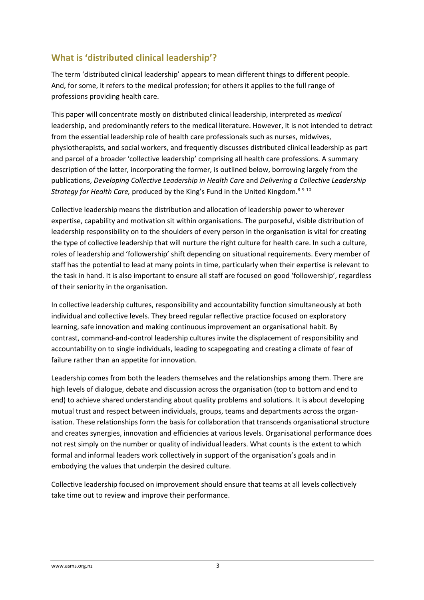## **What is 'distributed clinical leadership'?**

The term 'distributed clinical leadership' appears to mean different things to different people. And, for some, it refers to the medical profession; for others it applies to the full range of professions providing health care.

This paper will concentrate mostly on distributed clinical leadership, interpreted as *medical* leadership, and predominantly refers to the medical literature. However, it is not intended to detract from the essential leadership role of health care professionals such as nurses, midwives, physiotherapists, and social workers, and frequently discusses distributed clinical leadership as part and parcel of a broader 'collective leadership' comprising all health care professions. A summary description of the latter, incorporating the former, is outlined below, borrowing largely from the publications, *Developing Collective Leadership in Health Care* and *Delivering a Collective Leadership Strategy for Health Care,* produced by the King's Fund in the United Kingdom.<sup>8</sup> <sup>9</sup> <sup>10</sup>

Collective leadership means the distribution and allocation of leadership power to wherever expertise, capability and motivation sit within organisations. The purposeful, visible distribution of leadership responsibility on to the shoulders of every person in the organisation is vital for creating the type of collective leadership that will nurture the right culture for health care. In such a culture, roles of leadership and 'followership' shift depending on situational requirements. Every member of staff has the potential to lead at many points in time, particularly when their expertise is relevant to the task in hand. It is also important to ensure all staff are focused on good 'followership', regardless of their seniority in the organisation.

In collective leadership cultures, responsibility and accountability function simultaneously at both individual and collective levels. They breed regular reflective practice focused on exploratory learning, safe innovation and making continuous improvement an organisational habit. By contrast, command-and-control leadership cultures invite the displacement of responsibility and accountability on to single individuals, leading to scapegoating and creating a climate of fear of failure rather than an appetite for innovation.

Leadership comes from both the leaders themselves and the relationships among them. There are high levels of dialogue, debate and discussion across the organisation (top to bottom and end to end) to achieve shared understanding about quality problems and solutions. It is about developing mutual trust and respect between individuals, groups, teams and departments across the organisation. These relationships form the basis for collaboration that transcends organisational structure and creates synergies, innovation and efficiencies at various levels. Organisational performance does not rest simply on the number or quality of individual leaders. What counts is the extent to which formal and informal leaders work collectively in support of the organisation's goals and in embodying the values that underpin the desired culture.

Collective leadership focused on improvement should ensure that teams at all levels collectively take time out to review and improve their performance.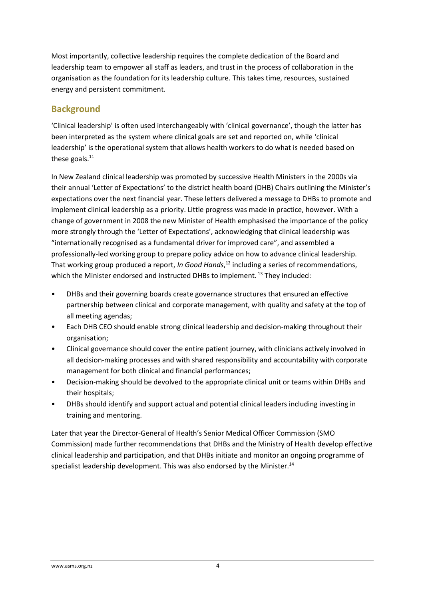Most importantly, collective leadership requires the complete dedication of the Board and leadership team to empower all staff as leaders, and trust in the process of collaboration in the organisation as the foundation for its leadership culture. This takes time, resources, sustained energy and persistent commitment.

### **Background**

'Clinical leadership' is often used interchangeably with 'clinical governance', though the latter has been interpreted as the system where clinical goals are set and reported on, while 'clinical leadership' is the operational system that allows health workers to do what is needed based on these goals. $^{11}$ 

In New Zealand clinical leadership was promoted by successive Health Ministers in the 2000s via their annual 'Letter of Expectations' to the district health board (DHB) Chairs outlining the Minister's expectations over the next financial year. These letters delivered a message to DHBs to promote and implement clinical leadership as a priority. Little progress was made in practice, however. With a change of government in 2008 the new Minister of Health emphasised the importance of the policy more strongly through the 'Letter of Expectations', acknowledging that clinical leadership was "internationally recognised as a fundamental driver for improved care", and assembled a professionally-led working group to prepare policy advice on how to advance clinical leadership. That working group produced a report, *In Good Hands*, <sup>12</sup> including a series of recommendations, which the Minister endorsed and instructed DHBs to implement.<sup>13</sup> They included:

- DHBs and their governing boards create governance structures that ensured an effective partnership between clinical and corporate management, with quality and safety at the top of all meeting agendas;
- Each DHB CEO should enable strong clinical leadership and decision-making throughout their organisation;
- Clinical governance should cover the entire patient journey, with clinicians actively involved in all decision-making processes and with shared responsibility and accountability with corporate management for both clinical and financial performances;
- Decision-making should be devolved to the appropriate clinical unit or teams within DHBs and their hospitals;
- DHBs should identify and support actual and potential clinical leaders including investing in training and mentoring.

Later that year the Director-General of Health's Senior Medical Officer Commission (SMO Commission) made further recommendations that DHBs and the Ministry of Health develop effective clinical leadership and participation, and that DHBs initiate and monitor an ongoing programme of specialist leadership development. This was also endorsed by the Minister.<sup>14</sup>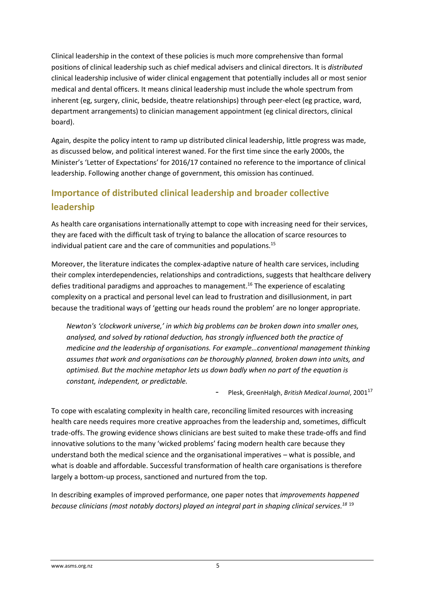Clinical leadership in the context of these policies is much more comprehensive than formal positions of clinical leadership such as chief medical advisers and clinical directors. It is *distributed* clinical leadership inclusive of wider clinical engagement that potentially includes all or most senior medical and dental officers. It means clinical leadership must include the whole spectrum from inherent (eg, surgery, clinic, bedside, theatre relationships) through peer-elect (eg practice, ward, department arrangements) to clinician management appointment (eg clinical directors, clinical board).

Again, despite the policy intent to ramp up distributed clinical leadership, little progress was made, as discussed below, and political interest waned. For the first time since the early 2000s, the Minister's 'Letter of Expectations' for 2016/17 contained no reference to the importance of clinical leadership. Following another change of government, this omission has continued.

## **Importance of distributed clinical leadership and broader collective leadership**

As health care organisations internationally attempt to cope with increasing need for their services, they are faced with the difficult task of trying to balance the allocation of scarce resources to individual patient care and the care of communities and populations.<sup>15</sup>

Moreover, the literature indicates the complex-adaptive nature of health care services, including their complex interdependencies, relationships and contradictions, suggests that healthcare delivery defies traditional paradigms and approaches to management.<sup>16</sup> The experience of escalating complexity on a practical and personal level can lead to frustration and disillusionment, in part because the traditional ways of 'getting our heads round the problem' are no longer appropriate.

*Newton's 'clockwork universe,' in which big problems can be broken down into smaller ones, analysed, and solved by rational deduction, has strongly influenced both the practice of medicine and the leadership of organisations. For example…conventional management thinking assumes that work and organisations can be thoroughly planned, broken down into units, and optimised. But the machine metaphor lets us down badly when no part of the equation is constant, independent, or predictable.*

- Plesk, GreenHalgh, *British Medical Journal*, 2001<sup>17</sup>

To cope with escalating complexity in health care, reconciling limited resources with increasing health care needs requires more creative approaches from the leadership and, sometimes, difficult trade-offs. The growing evidence shows clinicians are best suited to make these trade-offs and find innovative solutions to the many 'wicked problems' facing modern health care because they understand both the medical science and the organisational imperatives – what is possible, and what is doable and affordable. Successful transformation of health care organisations is therefore largely a bottom-up process, sanctioned and nurtured from the top.

In describing examples of improved performance, one paper notes that *improvements happened because clinicians (most notably doctors) played an integral part in shaping clinical services. 18* 19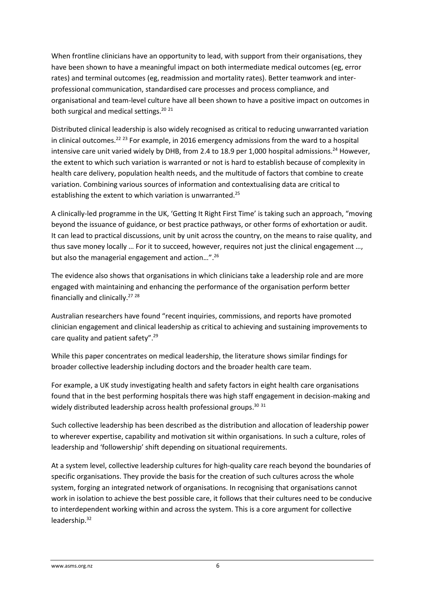When frontline clinicians have an opportunity to lead, with support from their organisations, they have been shown to have a meaningful impact on both intermediate medical outcomes (eg, error rates) and terminal outcomes (eg, readmission and mortality rates). Better teamwork and interprofessional communication, standardised care processes and process compliance, and organisational and team-level culture have all been shown to have a positive impact on outcomes in both surgical and medical settings.<sup>20</sup> <sup>21</sup>

Distributed clinical leadership is also widely recognised as critical to reducing unwarranted variation in clinical outcomes.<sup>22 23</sup> For example, in 2016 emergency admissions from the ward to a hospital intensive care unit varied widely by DHB, from 2.4 to 18.9 per 1,000 hospital admissions.<sup>24</sup> However, the extent to which such variation is warranted or not is hard to establish because of complexity in health care delivery, population health needs, and the multitude of factors that combine to create variation. Combining various sources of information and contextualising data are critical to establishing the extent to which variation is unwarranted.<sup>25</sup>

A clinically-led programme in the UK, 'Getting It Right First Time' is taking such an approach, "moving beyond the issuance of guidance, or best practice pathways, or other forms of exhortation or audit. It can lead to practical discussions, unit by unit across the country, on the means to raise quality, and thus save money locally … For it to succeed, however, requires not just the clinical engagement …, but also the managerial engagement and action…".<sup>26</sup>

The evidence also shows that organisations in which clinicians take a leadership role and are more engaged with maintaining and enhancing the performance of the organisation perform better financially and clinically.<sup>27</sup><sup>28</sup>

Australian researchers have found "recent inquiries, commissions, and reports have promoted clinician engagement and clinical leadership as critical to achieving and sustaining improvements to care quality and patient safety".<sup>29</sup>

While this paper concentrates on medical leadership, the literature shows similar findings for broader collective leadership including doctors and the broader health care team.

For example, a UK study investigating health and safety factors in eight health care organisations found that in the best performing hospitals there was high staff engagement in decision-making and widely distributed leadership across health professional groups.<sup>30 31</sup>

Such collective leadership has been described as the distribution and allocation of leadership power to wherever expertise, capability and motivation sit within organisations. In such a culture, roles of leadership and 'followership' shift depending on situational requirements.

At a system level, collective leadership cultures for high-quality care reach beyond the boundaries of specific organisations. They provide the basis for the creation of such cultures across the whole system, forging an integrated network of organisations. In recognising that organisations cannot work in isolation to achieve the best possible care, it follows that their cultures need to be conducive to interdependent working within and across the system. This is a core argument for collective leadership.32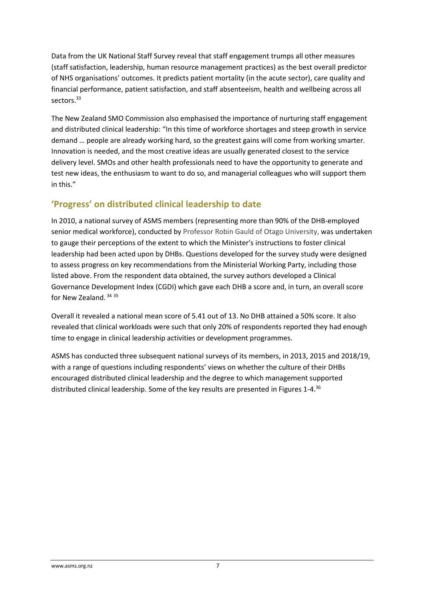Data from the UK National Staff Survey reveal that staff engagement trumps all other measures (staff satisfaction, leadership, human resource management practices) as the best overall predictor of NHS organisations' outcomes. It predicts patient mortality (in the acute sector), care quality and financial performance, patient satisfaction, and staff absenteeism, health and wellbeing across all sectors<sup>33</sup>

The New Zealand SMO Commission also emphasised the importance of nurturing staff engagement and distributed clinical leadership: "In this time of workforce shortages and steep growth in service demand … people are already working hard, so the greatest gains will come from working smarter. Innovation is needed, and the most creative ideas are usually generated closest to the service delivery level. SMOs and other health professionals need to have the opportunity to generate and test new ideas, the enthusiasm to want to do so, and managerial colleagues who will support them in this."

## **'Progress' on distributed clinical leadership to date**

In 2010, a national survey of ASMS members (representing more than 90% of the DHB-employed senior medical workforce), conducted by Professor Robin Gauld of Otago University, was undertaken to gauge their perceptions of the extent to which the Minister's instructions to foster clinical leadership had been acted upon by DHBs. Questions developed for the survey study were designed to assess progress on key recommendations from the Ministerial Working Party, including those listed above. From the respondent data obtained, the survey authors developed a Clinical Governance Development Index (CGDI) which gave each DHB a score and, in turn, an overall score for New Zealand. <sup>34</sup> <sup>35</sup>

Overall it revealed a national mean score of 5.41 out of 13. No DHB attained a 50% score. It also revealed that clinical workloads were such that only 20% of respondents reported they had enough time to engage in clinical leadership activities or development programmes.

ASMS has conducted three subsequent national surveys of its members, in 2013, 2015 and 2018/19, with a range of questions including respondents' views on whether the culture of their DHBs encouraged distributed clinical leadership and the degree to which management supported distributed clinical leadership. Some of the key results are presented in Figures 1-4.36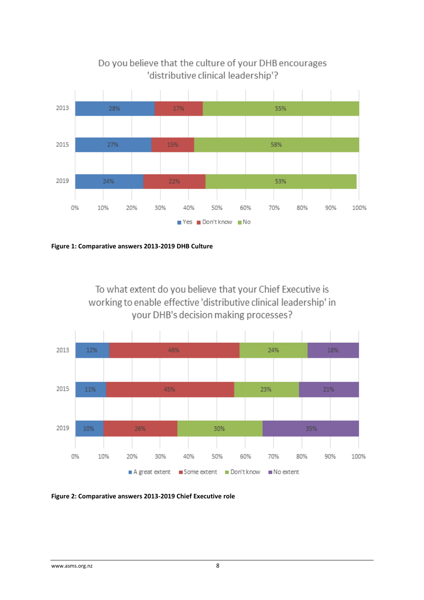

## Do you believe that the culture of your DHB encourages 'distributive clinical leadership'?

**Figure 1: Comparative answers 2013-2019 DHB Culture**

To what extent do you believe that your Chief Executive is working to enable effective 'distributive clinical leadership' in your DHB's decision making processes?



**Figure 2: Comparative answers 2013-2019 Chief Executive role**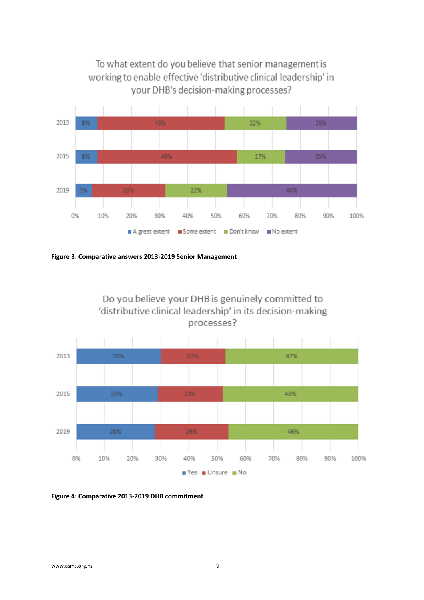

**Figure 3: Comparative answers 2013-2019 Senior Management**



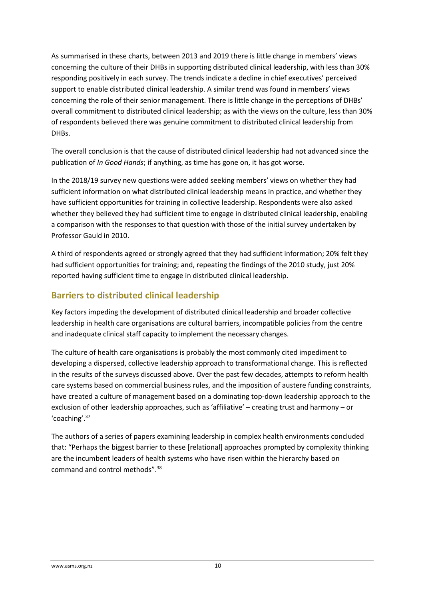As summarised in these charts, between 2013 and 2019 there is little change in members' views concerning the culture of their DHBs in supporting distributed clinical leadership, with less than 30% responding positively in each survey. The trends indicate a decline in chief executives' perceived support to enable distributed clinical leadership. A similar trend was found in members' views concerning the role of their senior management. There is little change in the perceptions of DHBs' overall commitment to distributed clinical leadership; as with the views on the culture, less than 30% of respondents believed there was genuine commitment to distributed clinical leadership from DHBs.

The overall conclusion is that the cause of distributed clinical leadership had not advanced since the publication of *In Good Hands*; if anything, as time has gone on, it has got worse.

In the 2018/19 survey new questions were added seeking members' views on whether they had sufficient information on what distributed clinical leadership means in practice, and whether they have sufficient opportunities for training in collective leadership. Respondents were also asked whether they believed they had sufficient time to engage in distributed clinical leadership, enabling a comparison with the responses to that question with those of the initial survey undertaken by Professor Gauld in 2010.

A third of respondents agreed or strongly agreed that they had sufficient information; 20% felt they had sufficient opportunities for training; and, repeating the findings of the 2010 study, just 20% reported having sufficient time to engage in distributed clinical leadership.

### **Barriers to distributed clinical leadership**

Key factors impeding the development of distributed clinical leadership and broader collective leadership in health care organisations are cultural barriers, incompatible policies from the centre and inadequate clinical staff capacity to implement the necessary changes.

The culture of health care organisations is probably the most commonly cited impediment to developing a dispersed, collective leadership approach to transformational change. This is reflected in the results of the surveys discussed above. Over the past few decades, attempts to reform health care systems based on commercial business rules, and the imposition of austere funding constraints, have created a culture of management based on a dominating top-down leadership approach to the exclusion of other leadership approaches, such as 'affiliative' – creating trust and harmony – or 'coaching'.<sup>37</sup>

The authors of a series of papers examining leadership in complex health environments concluded that: "Perhaps the biggest barrier to these [relational] approaches prompted by complexity thinking are the incumbent leaders of health systems who have risen within the hierarchy based on command and control methods". 38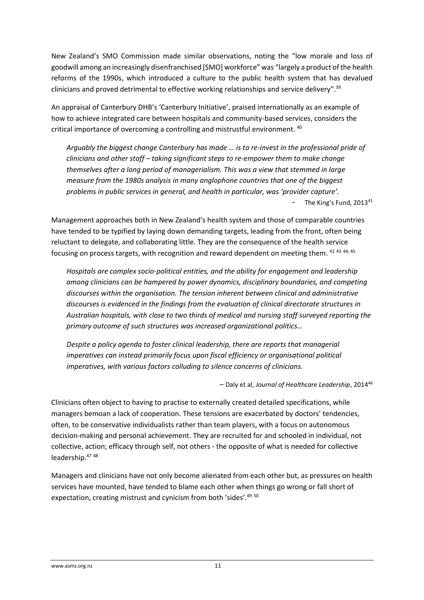New Zealand's SMO Commission made similar observations, noting the "low morale and loss of goodwill among an increasingly disenfranchised [SMO] workforce" was "largely a product of the health reforms of the 1990s, which introduced a culture to the public health system that has devalued clinicians and proved detrimental to effective working relationships and service delivery".<sup>39</sup>

An appraisal of Canterbury DHB's 'Canterbury Initiative', praised internationally as an example of how to achieve integrated care between hospitals and community-based services, considers the critical importance of overcoming a controlling and mistrustful environment. <sup>40</sup>

*Arguably the biggest change Canterbury has made … is to re-invest in the professional pride of clinicians and other staff – taking significant steps to re-empower them to make change themselves after a long period of managerialism. This was a view that stemmed in large measure from the 1980s analysis in many anglophone countries that one of the biggest problems in public services in general, and health in particular, was 'provider capture'.* The King's Fund, 2013<sup>41</sup>

Management approaches both in New Zealand's health system and those of comparable countries have tended to be typified by laying down demanding targets, leading from the front, often being reluctant to delegate, and collaborating little. They are the consequence of the health service focusing on process targets, with recognition and reward dependent on meeting them. <sup>42 43 44, 45</sup>

*Hospitals are complex socio-political entities, and the ability for engagement and leadership among clinicians can be hampered by power dynamics, disciplinary boundaries, and competing discourses within the organisation. The tension inherent between clinical and administrative discourses is evidenced in the findings from the evaluation of clinical directorate structures in Australian hospitals, with close to two thirds of medical and nursing staff surveyed reporting the primary outcome of such structures was increased organizational politics…*

*Despite a policy agenda to foster clinical leadership, there are reports that managerial imperatives can instead primarily focus upon fiscal efficiency or organisational political imperatives, with various factors colluding to silence concerns of clinicians.*

– Daly et al, *Journal of Healthcare Leadership*, 2014<sup>46</sup>

Clinicians often object to having to practise to externally created detailed specifications, while managers bemoan a lack of cooperation. These tensions are exacerbated by doctors' tendencies, often, to be conservative individualists rather than team players, with a focus on autonomous decision-making and personal achievement. They are recruited for and schooled in individual, not collective, action; efficacy through self, not others - the opposite of what is needed for collective leadership. 47 48

Managers and clinicians have not only become alienated from each other but, as pressures on health services have mounted, have tended to blame each other when things go wrong or fall short of expectation, creating mistrust and cynicism from both 'sides'.<sup>49 50</sup>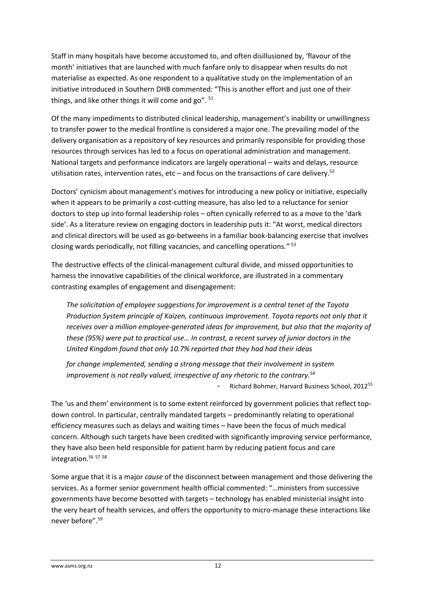Staff in many hospitals have become accustomed to, and often disillusioned by, 'flavour of the month' initiatives that are launched with much fanfare only to disappear when results do not materialise as expected. As one respondent to a qualitative study on the implementation of an initiative introduced in Southern DHB commented: "This is another effort and just one of their things, and like other things it will come and go". <sup>51</sup>

Of the many impediments to distributed clinical leadership, management's inability or unwillingness to transfer power to the medical frontline is considered a major one. The prevailing model of the delivery organisation as a repository of key resources and primarily responsible for providing those resources through services has led to a focus on operational administration and management. National targets and performance indicators are largely operational – waits and delays, resource utilisation rates, intervention rates, etc – and focus on the transactions of care delivery.<sup>52</sup>

Doctors' cynicism about management's motives for introducing a new policy or initiative, especially when it appears to be primarily a cost-cutting measure, has also led to a reluctance for senior doctors to step up into formal leadership roles – often cynically referred to as a move to the 'dark side'. As a literature review on engaging doctors in leadership puts it: "At worst, medical directors and clinical directors will be used as go-betweens in a familiar book-balancing exercise that involves closing wards periodically, not filling vacancies, and cancelling operations*."* <sup>53</sup>

The destructive effects of the clinical-management cultural divide, and missed opportunities to harness the innovative capabilities of the clinical workforce, are illustrated in a commentary contrasting examples of engagement and disengagement:

*The solicitation of employee suggestions for improvement is a central tenet of the Toyota Production System principle of Kaizen, continuous improvement. Toyota reports not only that it receives over a million employee-generated ideas for improvement, but also that the majority of these (95%) were put to practical use… In contrast, a recent survey of junior doctors in the United Kingdom found that only 10.7% reported that they had had their ideas* 

*for change implemented, sending a strong message that their involvement in system improvement is not really valued, irrespective of any rhetoric to the contrary.<sup>54</sup>* Richard Bohmer, Harvard Business School, 2012<sup>55</sup>

The 'us and them' environment is to some extent reinforced by government policies that reflect topdown control. In particular, centrally mandated targets – predominantly relating to operational efficiency measures such as delays and waiting times – have been the focus of much medical concern. Although such targets have been credited with significantly improving service performance, they have also been held responsible for patient harm by reducing patient focus and care integration.<sup>56 57 58</sup>

Some argue that it is a major *cause* of the disconnect between management and those delivering the services. As a former senior government health official commented: "…ministers from successive governments have become besotted with targets – technology has enabled ministerial insight into the very heart of health services, and offers the opportunity to micro-manage these interactions like never before".59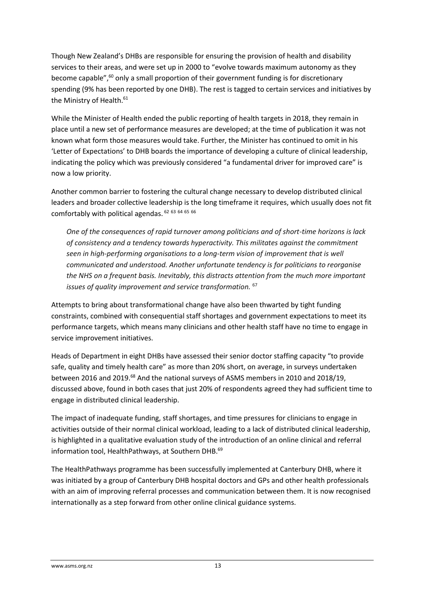Though New Zealand's DHBs are responsible for ensuring the provision of health and disability services to their areas, and were set up in 2000 to "evolve towards maximum autonomy as they become capable",<sup>60</sup> only a small proportion of their government funding is for discretionary spending (9% has been reported by one DHB). The rest is tagged to certain services and initiatives by the Ministry of Health.<sup>61</sup>

While the Minister of Health ended the public reporting of health targets in 2018, they remain in place until a new set of performance measures are developed; at the time of publication it was not known what form those measures would take. Further, the Minister has continued to omit in his 'Letter of Expectations' to DHB boards the importance of developing a culture of clinical leadership, indicating the policy which was previously considered "a fundamental driver for improved care" is now a low priority.

Another common barrier to fostering the cultural change necessary to develop distributed clinical leaders and broader collective leadership is the long timeframe it requires, which usually does not fit comfortably with political agendas.  $62$  63 64 65 66

*One of the consequences of rapid turnover among politicians and of short-time horizons is lack of consistency and a tendency towards hyperactivity. This militates against the commitment seen in high-performing organisations to a long-term vision of improvement that is well communicated and understood. Another unfortunate tendency is for politicians to reorganise the NHS on a frequent basis. Inevitably, this distracts attention from the much more important issues of quality improvement and service transformation.* <sup>67</sup>

Attempts to bring about transformational change have also been thwarted by tight funding constraints, combined with consequential staff shortages and government expectations to meet its performance targets, which means many clinicians and other health staff have no time to engage in service improvement initiatives.

Heads of Department in eight DHBs have assessed their senior doctor staffing capacity "to provide safe, quality and timely health care" as more than 20% short, on average, in surveys undertaken between 2016 and 2019.<sup>68</sup> And the national surveys of ASMS members in 2010 and 2018/19, discussed above, found in both cases that just 20% of respondents agreed they had sufficient time to engage in distributed clinical leadership.

The impact of inadequate funding, staff shortages, and time pressures for clinicians to engage in activities outside of their normal clinical workload, leading to a lack of distributed clinical leadership, is highlighted in a qualitative evaluation study of the introduction of an online clinical and referral information tool, HealthPathways, at Southern DHB.<sup>69</sup>

The HealthPathways programme has been successfully implemented at Canterbury DHB, where it was initiated by a group of Canterbury DHB hospital doctors and GPs and other health professionals with an aim of improving referral processes and communication between them. It is now recognised internationally as a step forward from other online clinical guidance systems.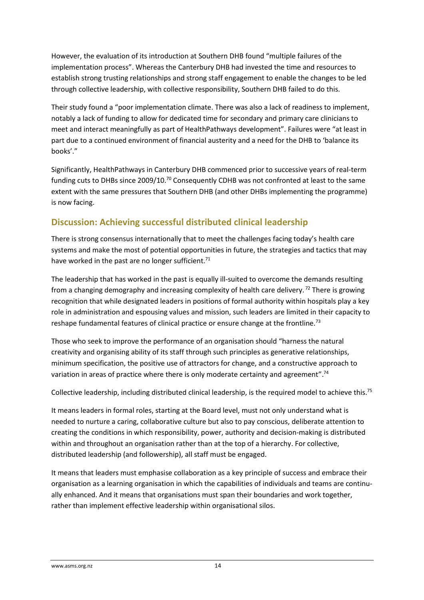However, the evaluation of its introduction at Southern DHB found "multiple failures of the implementation process". Whereas the Canterbury DHB had invested the time and resources to establish strong trusting relationships and strong staff engagement to enable the changes to be led through collective leadership, with collective responsibility, Southern DHB failed to do this.

Their study found a "poor implementation climate. There was also a lack of readiness to implement, notably a lack of funding to allow for dedicated time for secondary and primary care clinicians to meet and interact meaningfully as part of HealthPathways development". Failures were "at least in part due to a continued environment of financial austerity and a need for the DHB to 'balance its books'."

Significantly, HealthPathways in Canterbury DHB commenced prior to successive years of real-term funding cuts to DHBs since 2009/10.<sup>70</sup> Consequently CDHB was not confronted at least to the same extent with the same pressures that Southern DHB (and other DHBs implementing the programme) is now facing.

## **Discussion: Achieving successful distributed clinical leadership**

There is strong consensus internationally that to meet the challenges facing today's health care systems and make the most of potential opportunities in future, the strategies and tactics that may have worked in the past are no longer sufficient.<sup>71</sup>

The leadership that has worked in the past is equally ill-suited to overcome the demands resulting from a changing demography and increasing complexity of health care delivery.<sup>72</sup> There is growing recognition that while designated leaders in positions of formal authority within hospitals play a key role in administration and espousing values and mission, such leaders are limited in their capacity to reshape fundamental features of clinical practice or ensure change at the frontline.<sup>73</sup>

Those who seek to improve the performance of an organisation should "harness the natural creativity and organising ability of its staff through such principles as generative relationships, minimum specification, the positive use of attractors for change, and a constructive approach to variation in areas of practice where there is only moderate certainty and agreement".<sup>74</sup>

Collective leadership, including distributed clinical leadership, is the required model to achieve this.<sup>75</sup>

It means leaders in formal roles, starting at the Board level, must not only understand what is needed to nurture a caring, collaborative culture but also to pay conscious, deliberate attention to creating the conditions in which responsibility, power, authority and decision-making is distributed within and throughout an organisation rather than at the top of a hierarchy. For collective, distributed leadership (and followership), all staff must be engaged.

It means that leaders must emphasise collaboration as a key principle of success and embrace their organisation as a learning organisation in which the capabilities of individuals and teams are continually enhanced. And it means that organisations must span their boundaries and work together, rather than implement effective leadership within organisational silos.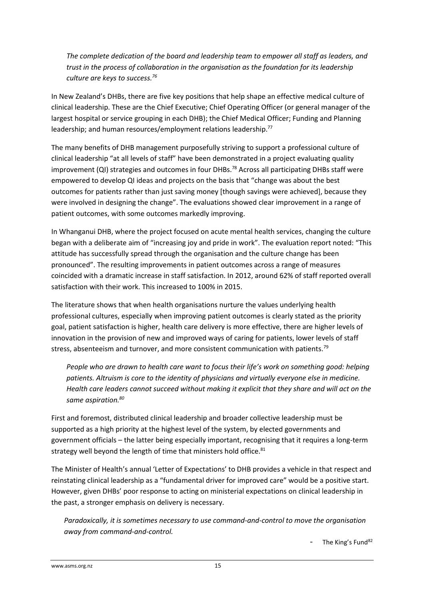*The complete dedication of the board and leadership team to empower all staff as leaders, and trust in the process of collaboration in the organisation as the foundation for its leadership culture are keys to success.<sup>76</sup>*

In New Zealand's DHBs, there are five key positions that help shape an effective medical culture of clinical leadership. These are the Chief Executive; Chief Operating Officer (or general manager of the largest hospital or service grouping in each DHB); the Chief Medical Officer; Funding and Planning leadership; and human resources/employment relations leadership.<sup>77</sup>

The many benefits of DHB management purposefully striving to support a professional culture of clinical leadership "at all levels of staff" have been demonstrated in a project evaluating quality improvement  $(QI)$  strategies and outcomes in four DHBs.<sup>78</sup> Across all participating DHBs staff were empowered to develop QI ideas and projects on the basis that "change was about the best outcomes for patients rather than just saving money [though savings were achieved], because they were involved in designing the change". The evaluations showed clear improvement in a range of patient outcomes, with some outcomes markedly improving.

In Whanganui DHB, where the project focused on acute mental health services, changing the culture began with a deliberate aim of "increasing joy and pride in work". The evaluation report noted: "This attitude has successfully spread through the organisation and the culture change has been pronounced". The resulting improvements in patient outcomes across a range of measures coincided with a dramatic increase in staff satisfaction. In 2012, around 62% of staff reported overall satisfaction with their work. This increased to 100% in 2015.

The literature shows that when health organisations nurture the values underlying health professional cultures, especially when improving patient outcomes is clearly stated as the priority goal, patient satisfaction is higher, health care delivery is more effective, there are higher levels of innovation in the provision of new and improved ways of caring for patients, lower levels of staff stress, absenteeism and turnover, and more consistent communication with patients.<sup>79</sup>

*People who are drawn to health care want to focus their life's work on something good: helping patients. Altruism is core to the identity of physicians and virtually everyone else in medicine. Health care leaders cannot succeed without making it explicit that they share and will act on the same aspiration.<sup>80</sup>*

First and foremost, distributed clinical leadership and broader collective leadership must be supported as a high priority at the highest level of the system, by elected governments and government officials – the latter being especially important, recognising that it requires a long-term strategy well beyond the length of time that ministers hold office.<sup>81</sup>

The Minister of Health's annual 'Letter of Expectations' to DHB provides a vehicle in that respect and reinstating clinical leadership as a "fundamental driver for improved care" would be a positive start. However, given DHBs' poor response to acting on ministerial expectations on clinical leadership in the past, a stronger emphasis on delivery is necessary.

*Paradoxically, it is sometimes necessary to use command-and-control to move the organisation away from command-and-control.* 

The King's Fund<sup>82</sup>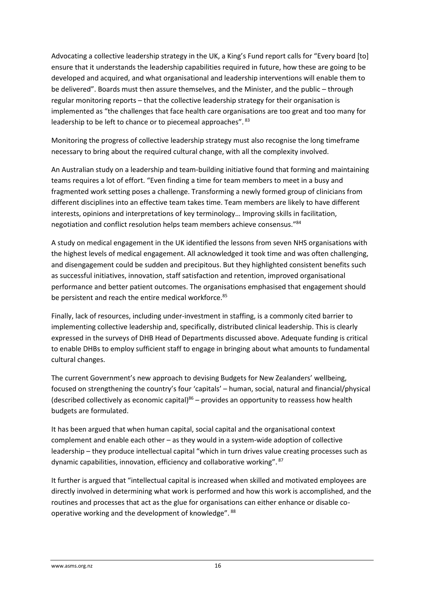Advocating a collective leadership strategy in the UK, a King's Fund report calls for "Every board [to] ensure that it understands the leadership capabilities required in future, how these are going to be developed and acquired, and what organisational and leadership interventions will enable them to be delivered". Boards must then assure themselves, and the Minister, and the public – through regular monitoring reports – that the collective leadership strategy for their organisation is implemented as "the challenges that face health care organisations are too great and too many for leadership to be left to chance or to piecemeal approaches". 83

Monitoring the progress of collective leadership strategy must also recognise the long timeframe necessary to bring about the required cultural change, with all the complexity involved.

An Australian study on a leadership and team-building initiative found that forming and maintaining teams requires a lot of effort. "Even finding a time for team members to meet in a busy and fragmented work setting poses a challenge. Transforming a newly formed group of clinicians from different disciplines into an effective team takes time. Team members are likely to have different interests, opinions and interpretations of key terminology… Improving skills in facilitation, negotiation and conflict resolution helps team members achieve consensus." 84

A study on medical engagement in the UK identified the lessons from seven NHS organisations with the highest levels of medical engagement. All acknowledged it took time and was often challenging, and disengagement could be sudden and precipitous. But they highlighted consistent benefits such as successful initiatives, innovation, staff satisfaction and retention, improved organisational performance and better patient outcomes. The organisations emphasised that engagement should be persistent and reach the entire medical workforce.<sup>85</sup>

Finally, lack of resources, including under-investment in staffing, is a commonly cited barrier to implementing collective leadership and, specifically, distributed clinical leadership. This is clearly expressed in the surveys of DHB Head of Departments discussed above. Adequate funding is critical to enable DHBs to employ sufficient staff to engage in bringing about what amounts to fundamental cultural changes.

The current Government's new approach to devising Budgets for New Zealanders' wellbeing, focused on strengthening the country's four 'capitals' – human, social, natural and financial/physical (described collectively as economic capital) $86$  – provides an opportunity to reassess how health budgets are formulated.

It has been argued that when human capital, social capital and the organisational context complement and enable each other – as they would in a system-wide adoption of collective leadership – they produce intellectual capital "which in turn drives value creating processes such as dynamic capabilities, innovation, efficiency and collaborative working". <sup>87</sup>

It further is argued that "intellectual capital is increased when skilled and motivated employees are directly involved in determining what work is performed and how this work is accomplished, and the routines and processes that act as the glue for organisations can either enhance or disable cooperative working and the development of knowledge". <sup>88</sup>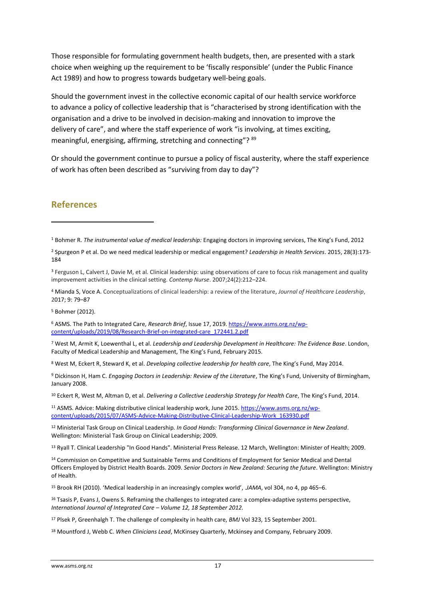Those responsible for formulating government health budgets, then, are presented with a stark choice when weighing up the requirement to be 'fiscally responsible' (under the Public Finance Act 1989) and how to progress towards budgetary well-being goals.

Should the government invest in the collective economic capital of our health service workforce to advance a policy of collective leadership that is "characterised by strong identification with the organisation and a drive to be involved in decision-making and innovation to improve the delivery of care", and where the staff experience of work "is involving, at times exciting, meaningful, energising, affirming, stretching and connecting"? <sup>89</sup>

Or should the government continue to pursue a policy of fiscal austerity, where the staff experience of work has often been described as "surviving from day to day"?

#### **References**

1

<sup>3</sup> Ferguson L, Calvert J, Davie M, et al. Clinical leadership: using observations of care to focus risk management and quality improvement activities in the clinical setting. *Contemp Nurse*. 2007;24(2):212–224.

<sup>4</sup> Mianda S, Voce A. Conceptualizations of clinical leadership: a review of the literature, *Journal of Healthcare Leadership*, 2017; 9: 79–87

<sup>5</sup> Bohmer (2012).

<sup>6</sup> ASMS. The Path to Integrated Care, *Research Brief*, Issue 17, 2019[. https://www.asms.org.nz/wp](https://www.asms.org.nz/wp-content/uploads/2019/08/Research-Brief-on-integrated-care_172441.2.pdf)[content/uploads/2019/08/Research-Brief-on-integrated-care\\_172441.2.pdf](https://www.asms.org.nz/wp-content/uploads/2019/08/Research-Brief-on-integrated-care_172441.2.pdf)

<sup>7</sup> West M, Armit K, Loewenthal L, et al. *Leadership and Leadership Development in Healthcare: The Evidence Base*. London, Faculty of Medical Leadership and Management, The King's Fund, February 2015.

<sup>8</sup> West M, Eckert R, Steward K, et al. *Developing collective leadership for health care*, The King's Fund, May 2014.

<sup>9</sup> Dickinson H, Ham C. *Engaging Doctors in Leadership: Review of the Literature*, The King's Fund, University of Birmingham, January 2008.

<sup>10</sup> Eckert R, West M, Altman D, et al. *Delivering a Collective Leadership Strategy for Health Care*, The King's Fund, 2014.

<sup>11</sup> ASMS. Advice: Making distributive clinical leadership work, June 2015[. https://www.asms.org.nz/wp](https://www.asms.org.nz/wp-content/uploads/2015/07/ASMS-Advice-Making-Distributive-Clinical-Leadership-Work_163930.pdf)[content/uploads/2015/07/ASMS-Advice-Making-Distributive-Clinical-Leadership-Work\\_163930.pdf](https://www.asms.org.nz/wp-content/uploads/2015/07/ASMS-Advice-Making-Distributive-Clinical-Leadership-Work_163930.pdf)

<sup>12</sup> Ministerial Task Group on Clinical Leadership*. In Good Hands: Transforming Clinical Governance in New Zealand*. Wellington: Ministerial Task Group on Clinical Leadership; 2009.

<sup>13</sup> Ryall T. Clinical Leadership "In Good Hands". Ministerial Press Release. 12 March, Wellington: Minister of Health; 2009.

<sup>14</sup> Commission on Competitive and Sustainable Terms and Conditions of Employment for Senior Medical and Dental Officers Employed by District Health Boards. 2009. *Senior Doctors in New Zealand: Securing the future*. Wellington: Ministry of Health.

<sup>15</sup> Brook RH (2010). 'Medical leadership in an increasingly complex world', .*JAMA*, vol 304, no 4, pp 465–6.

<sup>16</sup> Tsasis P, Evans J, Owens S. Reframing the challenges to integrated care: a complex-adaptive systems perspective, *International Journal of Integrated Care – Volume 12, 18 September 2012.*

<sup>17</sup> Plsek P, Greenhalgh T. The challenge of complexity in health care, *BMJ* Vol 323, 15 September 2001.

<sup>18</sup> Mountford J, Webb C. *When Clinicians Lead*, McKinsey Quarterly, Mckinsey and Company, February 2009.

<sup>1</sup> Bohmer R. *The instrumental value of medical leadership:* Engaging doctors in improving services, The King's Fund, 2012

<sup>2</sup> Spurgeon P et al. Do we need medical leadership or medical engagement? *Leadership in Health Services*. 2015, 28(3):173- 184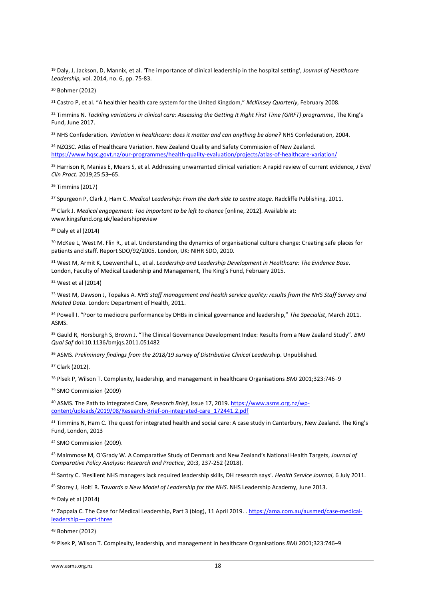<sup>19</sup> Daly, J, Jackson, D, Mannix, et al. 'The importance of clinical leadership in the hospital setting', *Journal of Healthcare Leadership,* vol. 2014, no. 6, pp. 75-83.

<sup>20</sup> Bohmer (2012)

**.** 

<sup>21</sup> Castro P, et al. "A healthier health care system for the United Kingdom," *McKinsey Quarterly*, February 2008.

<sup>22</sup> Timmins N. *Tackling variations in clinical care: Assessing the Getting It Right First Time (GIRFT) programme*, The King's Fund, June 2017.

<sup>23</sup> NHS Confederation. *Variation in healthcare: does it matter and can anything be done?* NHS Confederation, 2004.

<sup>24</sup> NZQSC. Atlas of Healthcare Variation. New Zealand Quality and Safety Commission of New Zealand. <https://www.hqsc.govt.nz/our-programmes/health-quality-evaluation/projects/atlas-of-healthcare-variation/>

<sup>25</sup> Harrison R, Manias E, Mears S, et al. Addressing unwarranted clinical variation: A rapid review of current evidence, *J Eval Clin Pract*. 2019;25:53–65.

<sup>26</sup> Timmins (2017)

<sup>27</sup> Spurgeon P, Clark J, Ham C. *Medical Leadership: From the dark side to centre stage*. Radcliffe Publishing, 2011.

<sup>28</sup> Clark J. *Medical engagement: Too important to be left to chance* [online, 2012]. Available at: www.kingsfund.org.uk/leadershipreview

<sup>29</sup> Daly et al (2014)

<sup>30</sup> McKee L, West M. Flin R., et al. Understanding the dynamics of organisational culture change: Creating safe places for patients and staff. Report SDO/92/2005. London, UK: NIHR SDO, 2010.

<sup>31</sup> West M, Armit K, Loewenthal L., et al. *Leadership and Leadership Development in Healthcare: The Evidence Base*. London, Faculty of Medical Leadership and Management, The King's Fund, February 2015.

<sup>32</sup> West et al (2014)

<sup>33</sup> West M, Dawson J, Topakas A. *NHS staff management and health service quality: results from the NHS Staff Survey and Related Data*. London: Department of Health, 2011.

<sup>34</sup> Powell I. "Poor to mediocre performance by DHBs in clinical governance and leadership," *The Specialist*, March 2011. ASMS.

<sup>35</sup> Gauld R, Horsburgh S, Brown J. "The Clinical Governance Development Index: Results from a New Zealand Study". *BMJ Qual Saf* doi:10.1136/bmjqs.2011.051482

<sup>36</sup> ASMS. *Preliminary findings from the 2018/19 survey of Distributive Clinical Leaders*hip. Unpublished.

<sup>37</sup> Clark (2012).

<sup>38</sup> Plsek P, Wilson T. Complexity, leadership, and management in healthcare Organisations *BMJ* 2001;323:746–9

<sup>39</sup> SMO Commission (2009)

<sup>40</sup> ASMS. The Path to Integrated Care, *Research Brief*, Issue 17, 2019[. https://www.asms.org.nz/wp](https://www.asms.org.nz/wp-content/uploads/2019/08/Research-Brief-on-integrated-care_172441.2.pdf)[content/uploads/2019/08/Research-Brief-on-integrated-care\\_172441.2.pdf](https://www.asms.org.nz/wp-content/uploads/2019/08/Research-Brief-on-integrated-care_172441.2.pdf)

41 Timmins N, Ham C. The quest for integrated health and social care: A case study in Canterbury, New Zealand. The King's Fund, London, 2013

<sup>42</sup> SMO Commission (2009).

<sup>43</sup> Malmmose M, O'Grady W. A Comparative Study of Denmark and New Zealand's National Health Targets, *Journal of Comparative Policy Analysis: Research and Practice*, 20:3, 237-252 (2018).

<sup>44</sup> Santry C. 'Resilient NHS managers lack required leadership skills, DH research says'. *Health Service Journal*, 6 July 2011.

<sup>45</sup> Storey J, Holti R. *Towards a New Model of Leadership for the NHS*. NHS Leadership Academy, June 2013.

<sup>46</sup> Daly et al (2014)

<sup>47</sup> Zappala C. The Case for Medical Leadership, Part 3 (blog), 11 April 2019. [. https://ama.com.au/ausmed/case-medical](https://ama.com.au/ausmed/case-medical-leadership-%E2%80%93-part-three)[leadership-](https://ama.com.au/ausmed/case-medical-leadership-%E2%80%93-part-three)–-part-three

<sup>48</sup> Bohmer (2012)

<sup>49</sup> Plsek P, Wilson T. Complexity, leadership, and management in healthcare Organisations *BMJ* 2001;323:746–9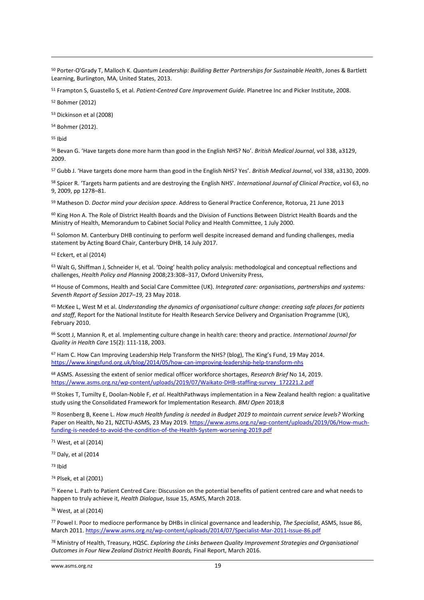<sup>50</sup> Porter-O'Grady T, Malloch K. *Quantum Leadership: Building Better Partnerships for Sustainable Health*, Jones & Bartlett Learning, Burlington, MA, United States, 2013.

<sup>51</sup> Frampton S, Guastello S, et al. *Patient-Centred Care Improvement Guide.* Planetree Inc and Picker Institute, 2008.

<sup>52</sup> Bohmer (2012)

<sup>53</sup> Dickinson et al (2008)

<sup>54</sup> Bohmer (2012).

<sup>55</sup> Ibid

**.** 

<sup>56</sup> Bevan G. 'Have targets done more harm than good in the English NHS? No'. *British Medical Journal*, vol 338, a3129, 2009.

<sup>57</sup> Gubb J. 'Have targets done more harm than good in the English NHS? Yes'. *British Medical Journal*, vol 338, a3130, 2009.

<sup>58</sup> Spicer R. 'Targets harm patients and are destroying the English NHS'. *International Journal of Clinical Practice*, vol 63, no 9, 2009, pp 1278–81.

<sup>59</sup> Matheson D. *Doctor mind your decision space*. Address to General Practice Conference, Rotorua, 21 June 2013

<sup>60</sup> King Hon A. The Role of District Health Boards and the Division of Functions Between District Health Boards and the Ministry of Health, Memorandum to Cabinet Social Policy and Health Committee, 1 July 2000.

<sup>61</sup> Solomon M. Canterbury DHB continuing to perform well despite increased demand and funding challenges, media statement by Acting Board Chair, Canterbury DHB, 14 July 2017.

<sup>62</sup> Eckert, et al (2014)

<sup>63</sup> Walt G, Shiffman J, Schneider H, et al. 'Doing' health policy analysis: methodological and conceptual reflections and challenges, *Health Policy and Planning* 2008;23:308–317, Oxford University Press,

<sup>64</sup> House of Commons, Health and Social Care Committee (UK). *Integrated care: organisations, partnerships and systems: Seventh Report of Session 2017–19,* 23 May 2018.

<sup>65</sup> McKee L, West M et al. *Understanding the dynamics of organisational culture change: creating safe places for patients and staff*, Report for the National Institute for Health Research Service Delivery and Organisation Programme (UK), February 2010.

<sup>66</sup> Scott J, Mannion R, et al. Implementing culture change in health care: theory and practice. *International Journal for Quality in Health Care* 15(2): 111-118, 2003.

<sup>67</sup> Ham C. How Can Improving Leadership Help Transform the NHS? (blog), The King's Fund, 19 May 2014. <https://www.kingsfund.org.uk/blog/2014/05/how-can-improving-leadership-help-transform-nhs>

<sup>68</sup> ASMS. Assessing the extent of senior medical officer workforce shortages, *Research Brief* No 14, 2019. [https://www.asms.org.nz/wp-content/uploads/2019/07/Waikato-DHB-staffing-survey\\_172221.2.pdf](https://www.asms.org.nz/wp-content/uploads/2019/07/Waikato-DHB-staffing-survey_172221.2.pdf)

<sup>69</sup> Stokes T, Tumilty E, Doolan-Noble F, *et al*. HealthPathways implementation in a New Zealand health region: a qualitative study using the Consolidated Framework for Implementation Research. *BMJ Open* 2018;8

<sup>70</sup> Rosenberg B, Keene L. *How much Health funding is needed in Budget 2019 to maintain current service levels?* Working Paper on Health, No 21, NZCTU-ASMS, 23 May 2019[. https://www.asms.org.nz/wp-content/uploads/2019/06/How-much](https://www.asms.org.nz/wp-content/uploads/2019/06/How-much-funding-is-needed-to-avoid-the-condition-of-the-Health-System-worsening-2019.pdf)[funding-is-needed-to-avoid-the-condition-of-the-Health-System-worsening-2019.pdf](https://www.asms.org.nz/wp-content/uploads/2019/06/How-much-funding-is-needed-to-avoid-the-condition-of-the-Health-System-worsening-2019.pdf)

<sup>71</sup> West, et al (2014)

<sup>72</sup> Daly, et al (2014

<sup>73</sup> Ibid

<sup>74</sup> Plsek, et al (2001)

<sup>75</sup> Keene L. Path to Patient Centred Care: Discussion on the potential benefits of patient centred care and what needs to happen to truly achieve it, *Health Dialogue*, Issue 15, ASMS, March 2018.

<sup>76</sup> West, at al (2014)

<sup>77</sup> Powel I. Poor to mediocre performance by DHBs in clinical governance and leadership, *The Specialist*, ASMS, Issue 86, March 2011[. https://www.asms.org.nz/wp-content/uploads/2014/07/Specialist-Mar-2011-Issue-86.pdf](https://www.asms.org.nz/wp-content/uploads/2014/07/Specialist-Mar-2011-Issue-86.pdf)

<sup>78</sup> Ministry of Health, Treasury, HQSC. *Exploring the Links between Quality Improvement Strategies and Organisational Outcomes in Four New Zealand District Health Boards,* Final Report, March 2016.